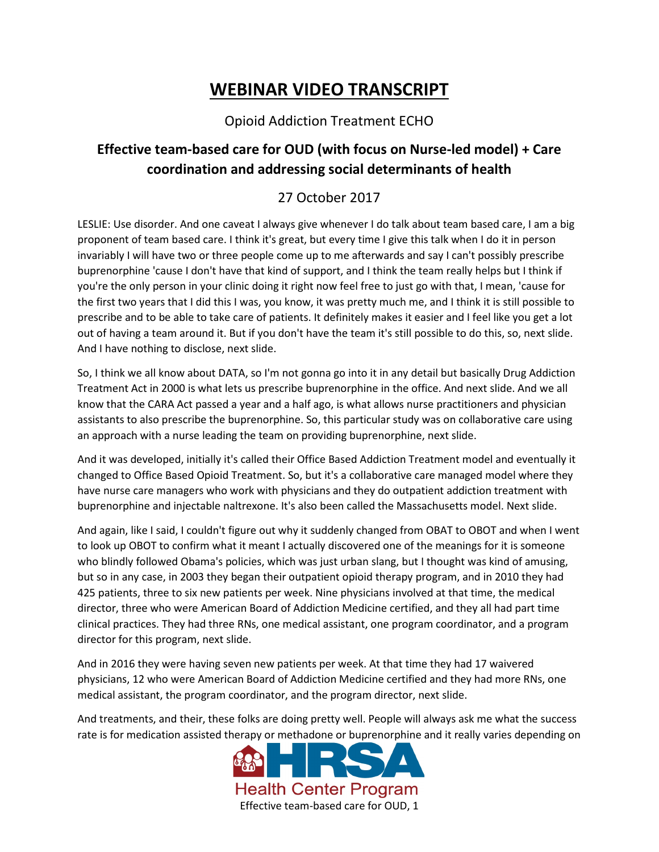## **WEBINAR VIDEO TRANSCRIPT**

## Opioid Addiction Treatment ECHO

## **Effective team-based care for OUD (with focus on Nurse-led model) + Care coordination and addressing social determinants of health**

## 27 October 2017

LESLIE: Use disorder. And one caveat I always give whenever I do talk about team based care, I am a big proponent of team based care. I think it's great, but every time I give this talk when I do it in person invariably I will have two or three people come up to me afterwards and say I can't possibly prescribe buprenorphine 'cause I don't have that kind of support, and I think the team really helps but I think if you're the only person in your clinic doing it right now feel free to just go with that, I mean, 'cause for the first two years that I did this I was, you know, it was pretty much me, and I think it is still possible to prescribe and to be able to take care of patients. It definitely makes it easier and I feel like you get a lot out of having a team around it. But if you don't have the team it's still possible to do this, so, next slide. And I have nothing to disclose, next slide.

So, I think we all know about DATA, so I'm not gonna go into it in any detail but basically Drug Addiction Treatment Act in 2000 is what lets us prescribe buprenorphine in the office. And next slide. And we all know that the CARA Act passed a year and a half ago, is what allows nurse practitioners and physician assistants to also prescribe the buprenorphine. So, this particular study was on collaborative care using an approach with a nurse leading the team on providing buprenorphine, next slide.

And it was developed, initially it's called their Office Based Addiction Treatment model and eventually it changed to Office Based Opioid Treatment. So, but it's a collaborative care managed model where they have nurse care managers who work with physicians and they do outpatient addiction treatment with buprenorphine and injectable naltrexone. It's also been called the Massachusetts model. Next slide.

And again, like I said, I couldn't figure out why it suddenly changed from OBAT to OBOT and when I went to look up OBOT to confirm what it meant I actually discovered one of the meanings for it is someone who blindly followed Obama's policies, which was just urban slang, but I thought was kind of amusing, but so in any case, in 2003 they began their outpatient opioid therapy program, and in 2010 they had 425 patients, three to six new patients per week. Nine physicians involved at that time, the medical director, three who were American Board of Addiction Medicine certified, and they all had part time clinical practices. They had three RNs, one medical assistant, one program coordinator, and a program director for this program, next slide.

And in 2016 they were having seven new patients per week. At that time they had 17 waivered physicians, 12 who were American Board of Addiction Medicine certified and they had more RNs, one medical assistant, the program coordinator, and the program director, next slide.

And treatments, and their, these folks are doing pretty well. People will always ask me what the success rate is for medication assisted therapy or methadone or buprenorphine and it really varies depending on

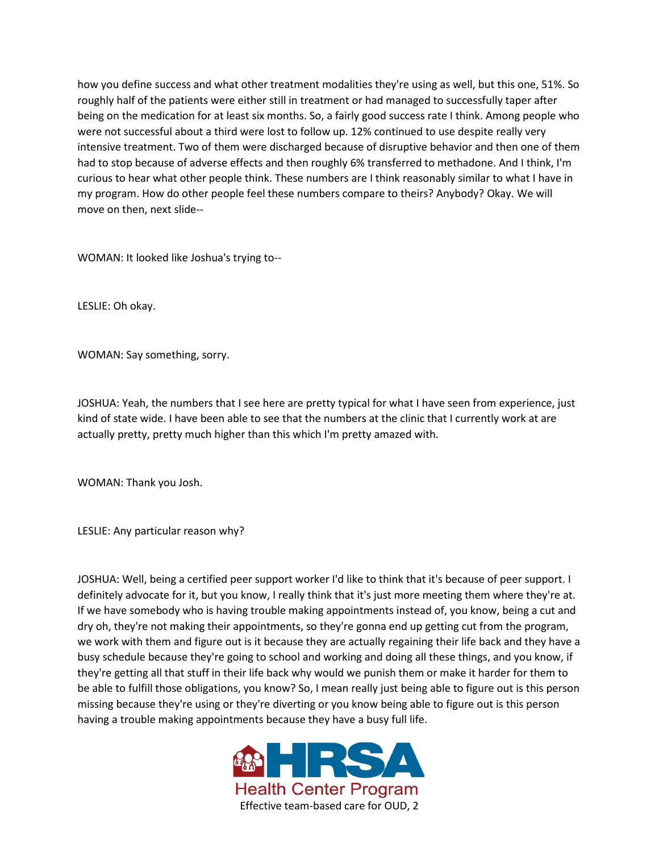how you define success and what other treatment modalities they're using as well, but this one, 51%. So roughly half of the patients were either still in treatment or had managed to successfully taper after being on the medication for at least six months. So, a fairly good success rate I think. Among people who were not successful about a third were lost to follow up. 12% continued to use despite really very intensive treatment. Two of them were discharged because of disruptive behavior and then one of them had to stop because of adverse effects and then roughly 6% transferred to methadone. And I think, I'm curious to hear what other people think. These numbers are I think reasonably similar to what I have in my program. How do other people feel these numbers compare to theirs? Anybody? Okay. We will move on then, next slide--

WOMAN: It looked like Joshua's trying to--

LESLIE: Oh okay.

WOMAN: Say something, sorry.

JOSHUA: Yeah, the numbers that I see here are pretty typical for what I have seen from experience, just kind of state wide. I have been able to see that the numbers at the clinic that I currently work at are actually pretty, pretty much higher than this which I'm pretty amazed with.

WOMAN: Thank you Josh.

LESLIE: Any particular reason why?

JOSHUA: Well, being a certified peer support worker I'd like to think that it's because of peer support. I definitely advocate for it, but you know, I really think that it's just more meeting them where they're at. If we have somebody who is having trouble making appointments instead of, you know, being a cut and dry oh, they're not making their appointments, so they're gonna end up getting cut from the program, we work with them and figure out is it because they are actually regaining their life back and they have a busy schedule because they're going to school and working and doing all these things, and you know, if they're getting all that stuff in their life back why would we punish them or make it harder for them to be able to fulfill those obligations, you know? So, I mean really just being able to figure out is this person missing because they're using or they're diverting or you know being able to figure out is this person having a trouble making appointments because they have a busy full life.

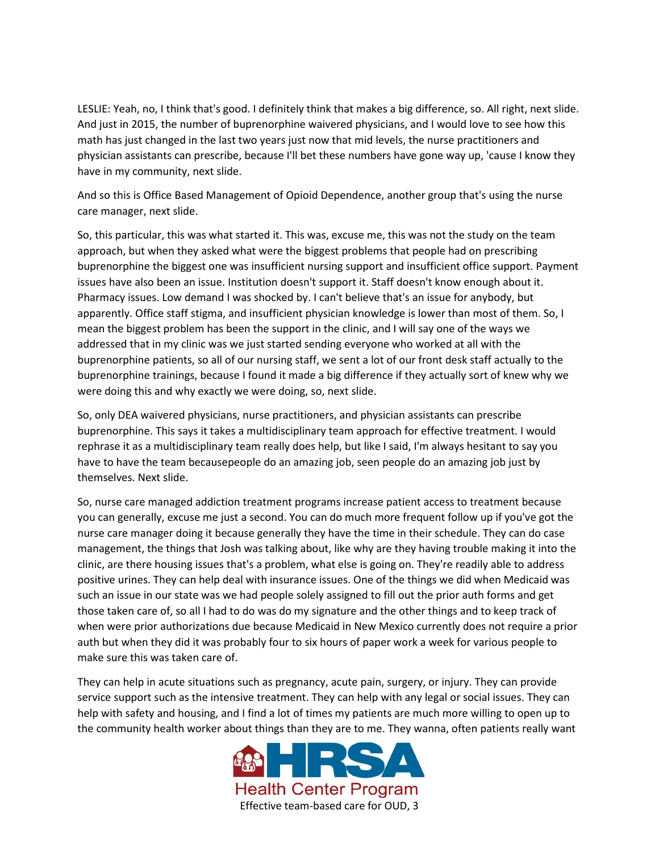LESLIE: Yeah, no, I think that's good. I definitely think that makes a big difference, so. All right, next slide. And just in 2015, the number of buprenorphine waivered physicians, and I would love to see how this math has just changed in the last two years just now that mid levels, the nurse practitioners and physician assistants can prescribe, because I'll bet these numbers have gone way up, 'cause I know they have in my community, next slide.

And so this is Office Based Management of Opioid Dependence, another group that's using the nurse care manager, next slide.

So, this particular, this was what started it. This was, excuse me, this was not the study on the team approach, but when they asked what were the biggest problems that people had on prescribing buprenorphine the biggest one was insufficient nursing support and insufficient office support. Payment issues have also been an issue. Institution doesn't support it. Staff doesn't know enough about it. Pharmacy issues. Low demand I was shocked by. I can't believe that's an issue for anybody, but apparently. Office staff stigma, and insufficient physician knowledge is lower than most of them. So, I mean the biggest problem has been the support in the clinic, and I will say one of the ways we addressed that in my clinic was we just started sending everyone who worked at all with the buprenorphine patients, so all of our nursing staff, we sent a lot of our front desk staff actually to the buprenorphine trainings, because I found it made a big difference if they actually sort of knew why we were doing this and why exactly we were doing, so, next slide.

So, only DEA waivered physicians, nurse practitioners, and physician assistants can prescribe buprenorphine. This says it takes a multidisciplinary team approach for effective treatment. I would rephrase it as a multidisciplinary team really does help, but like I said, I'm always hesitant to say you have to have the team becausepeople do an amazing job, seen people do an amazing job just by themselves. Next slide.

So, nurse care managed addiction treatment programs increase patient access to treatment because you can generally, excuse me just a second. You can do much more frequent follow up if you've got the nurse care manager doing it because generally they have the time in their schedule. They can do case management, the things that Josh was talking about, like why are they having trouble making it into the clinic, are there housing issues that's a problem, what else is going on. They're readily able to address positive urines. They can help deal with insurance issues. One of the things we did when Medicaid was such an issue in our state was we had people solely assigned to fill out the prior auth forms and get those taken care of, so all I had to do was do my signature and the other things and to keep track of when were prior authorizations due because Medicaid in New Mexico currently does not require a prior auth but when they did it was probably four to six hours of paper work a week for various people to make sure this was taken care of.

They can help in acute situations such as pregnancy, acute pain, surgery, or injury. They can provide service support such as the intensive treatment. They can help with any legal or social issues. They can help with safety and housing, and I find a lot of times my patients are much more willing to open up to the community health worker about things than they are to me. They wanna, often patients really want

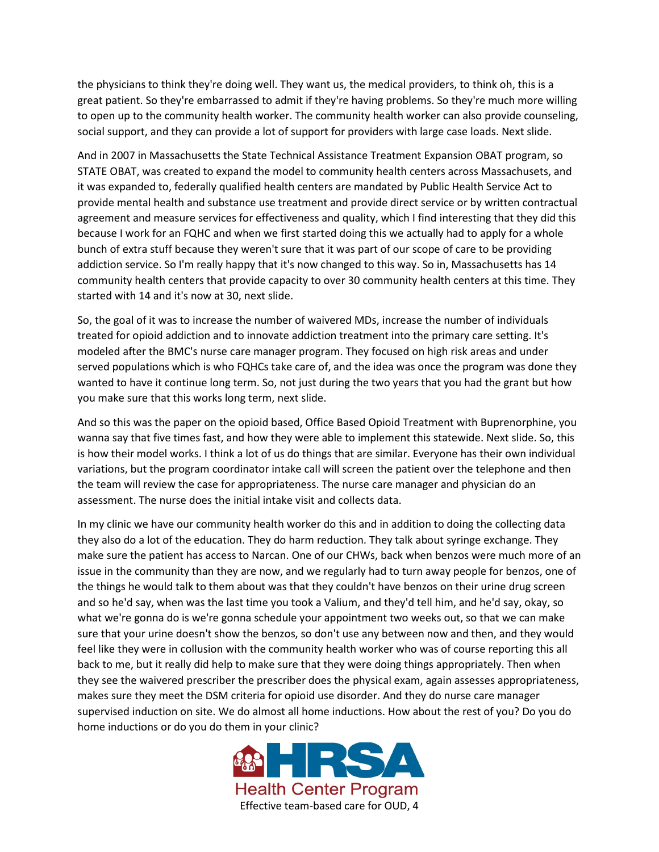the physicians to think they're doing well. They want us, the medical providers, to think oh, this is a great patient. So they're embarrassed to admit if they're having problems. So they're much more willing to open up to the community health worker. The community health worker can also provide counseling, social support, and they can provide a lot of support for providers with large case loads. Next slide.

And in 2007 in Massachusetts the State Technical Assistance Treatment Expansion OBAT program, so STATE OBAT, was created to expand the model to community health centers across Massachusets, and it was expanded to, federally qualified health centers are mandated by Public Health Service Act to provide mental health and substance use treatment and provide direct service or by written contractual agreement and measure services for effectiveness and quality, which I find interesting that they did this because I work for an FQHC and when we first started doing this we actually had to apply for a whole bunch of extra stuff because they weren't sure that it was part of our scope of care to be providing addiction service. So I'm really happy that it's now changed to this way. So in, Massachusetts has 14 community health centers that provide capacity to over 30 community health centers at this time. They started with 14 and it's now at 30, next slide.

So, the goal of it was to increase the number of waivered MDs, increase the number of individuals treated for opioid addiction and to innovate addiction treatment into the primary care setting. It's modeled after the BMC's nurse care manager program. They focused on high risk areas and under served populations which is who FQHCs take care of, and the idea was once the program was done they wanted to have it continue long term. So, not just during the two years that you had the grant but how you make sure that this works long term, next slide.

And so this was the paper on the opioid based, Office Based Opioid Treatment with Buprenorphine, you wanna say that five times fast, and how they were able to implement this statewide. Next slide. So, this is how their model works. I think a lot of us do things that are similar. Everyone has their own individual variations, but the program coordinator intake call will screen the patient over the telephone and then the team will review the case for appropriateness. The nurse care manager and physician do an assessment. The nurse does the initial intake visit and collects data.

In my clinic we have our community health worker do this and in addition to doing the collecting data they also do a lot of the education. They do harm reduction. They talk about syringe exchange. They make sure the patient has access to Narcan. One of our CHWs, back when benzos were much more of an issue in the community than they are now, and we regularly had to turn away people for benzos, one of the things he would talk to them about was that they couldn't have benzos on their urine drug screen and so he'd say, when was the last time you took a Valium, and they'd tell him, and he'd say, okay, so what we're gonna do is we're gonna schedule your appointment two weeks out, so that we can make sure that your urine doesn't show the benzos, so don't use any between now and then, and they would feel like they were in collusion with the community health worker who was of course reporting this all back to me, but it really did help to make sure that they were doing things appropriately. Then when they see the waivered prescriber the prescriber does the physical exam, again assesses appropriateness, makes sure they meet the DSM criteria for opioid use disorder. And they do nurse care manager supervised induction on site. We do almost all home inductions. How about the rest of you? Do you do home inductions or do you do them in your clinic?

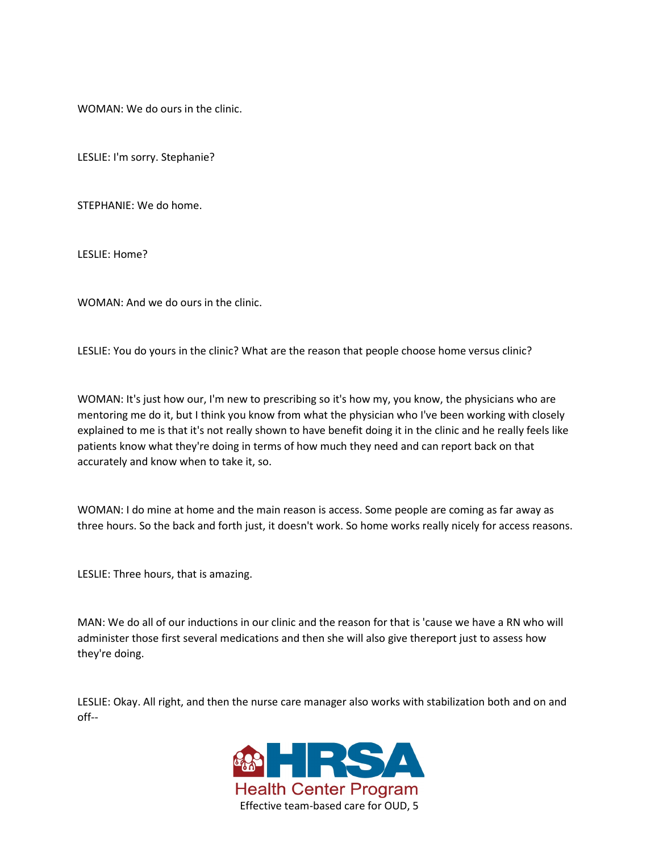WOMAN: We do ours in the clinic.

LESLIE: I'm sorry. Stephanie?

STEPHANIE: We do home.

LESLIE: Home?

WOMAN: And we do ours in the clinic.

LESLIE: You do yours in the clinic? What are the reason that people choose home versus clinic?

WOMAN: It's just how our, I'm new to prescribing so it's how my, you know, the physicians who are mentoring me do it, but I think you know from what the physician who I've been working with closely explained to me is that it's not really shown to have benefit doing it in the clinic and he really feels like patients know what they're doing in terms of how much they need and can report back on that accurately and know when to take it, so.

WOMAN: I do mine at home and the main reason is access. Some people are coming as far away as three hours. So the back and forth just, it doesn't work. So home works really nicely for access reasons.

LESLIE: Three hours, that is amazing.

MAN: We do all of our inductions in our clinic and the reason for that is 'cause we have a RN who will administer those first several medications and then she will also give thereport just to assess how they're doing.

LESLIE: Okay. All right, and then the nurse care manager also works with stabilization both and on and off--

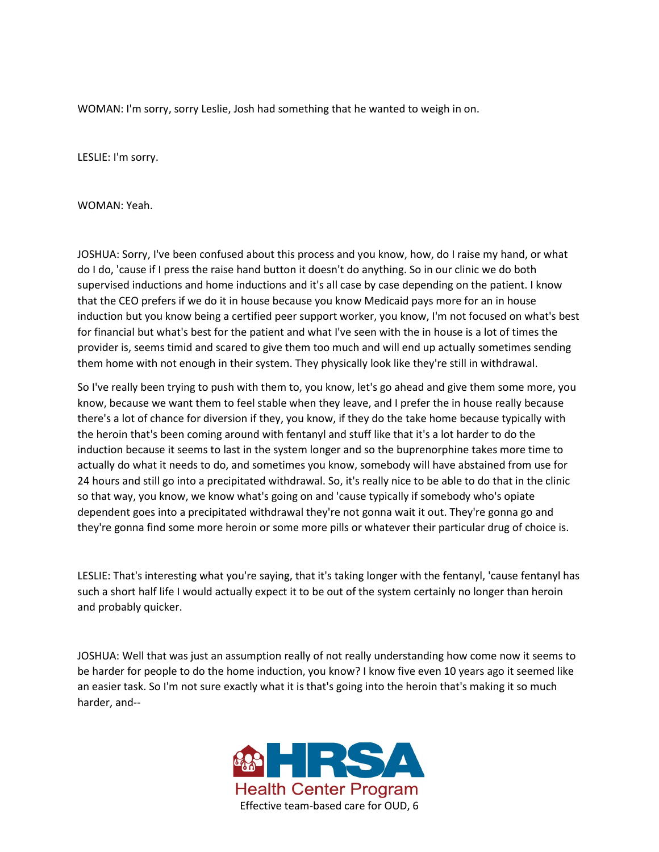WOMAN: I'm sorry, sorry Leslie, Josh had something that he wanted to weigh in on.

LESLIE: I'm sorry.

WOMAN: Yeah.

JOSHUA: Sorry, I've been confused about this process and you know, how, do I raise my hand, or what do I do, 'cause if I press the raise hand button it doesn't do anything. So in our clinic we do both supervised inductions and home inductions and it's all case by case depending on the patient. I know that the CEO prefers if we do it in house because you know Medicaid pays more for an in house induction but you know being a certified peer support worker, you know, I'm not focused on what's best for financial but what's best for the patient and what I've seen with the in house is a lot of times the provider is, seems timid and scared to give them too much and will end up actually sometimes sending them home with not enough in their system. They physically look like they're still in withdrawal.

So I've really been trying to push with them to, you know, let's go ahead and give them some more, you know, because we want them to feel stable when they leave, and I prefer the in house really because there's a lot of chance for diversion if they, you know, if they do the take home because typically with the heroin that's been coming around with fentanyl and stuff like that it's a lot harder to do the induction because it seems to last in the system longer and so the buprenorphine takes more time to actually do what it needs to do, and sometimes you know, somebody will have abstained from use for 24 hours and still go into a precipitated withdrawal. So, it's really nice to be able to do that in the clinic so that way, you know, we know what's going on and 'cause typically if somebody who's opiate dependent goes into a precipitated withdrawal they're not gonna wait it out. They're gonna go and they're gonna find some more heroin or some more pills or whatever their particular drug of choice is.

LESLIE: That's interesting what you're saying, that it's taking longer with the fentanyl, 'cause fentanyl has such a short half life I would actually expect it to be out of the system certainly no longer than heroin and probably quicker.

JOSHUA: Well that was just an assumption really of not really understanding how come now it seems to be harder for people to do the home induction, you know? I know five even 10 years ago it seemed like an easier task. So I'm not sure exactly what it is that's going into the heroin that's making it so much harder, and--

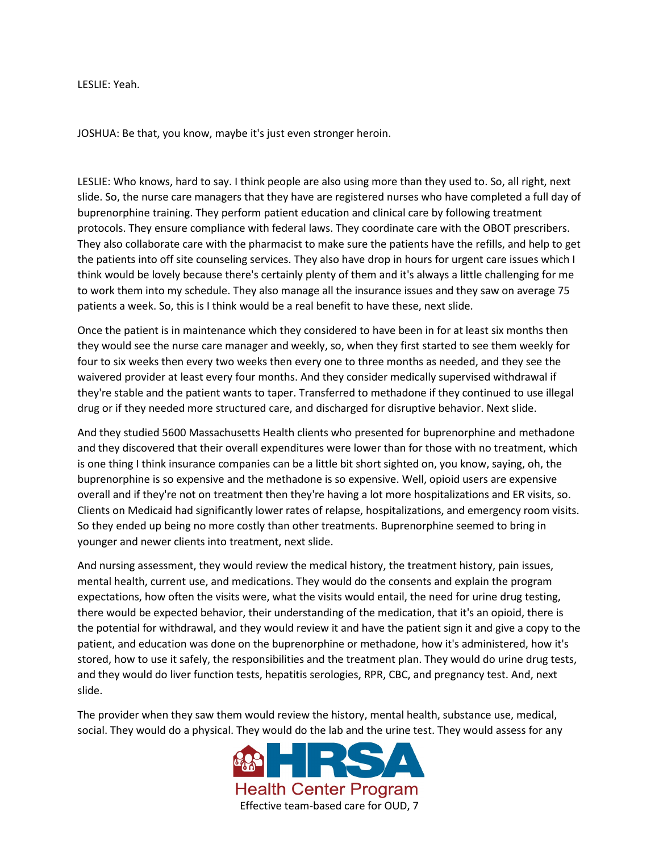LESLIE: Yeah.

JOSHUA: Be that, you know, maybe it's just even stronger heroin.

LESLIE: Who knows, hard to say. I think people are also using more than they used to. So, all right, next slide. So, the nurse care managers that they have are registered nurses who have completed a full day of buprenorphine training. They perform patient education and clinical care by following treatment protocols. They ensure compliance with federal laws. They coordinate care with the OBOT prescribers. They also collaborate care with the pharmacist to make sure the patients have the refills, and help to get the patients into off site counseling services. They also have drop in hours for urgent care issues which I think would be lovely because there's certainly plenty of them and it's always a little challenging for me to work them into my schedule. They also manage all the insurance issues and they saw on average 75 patients a week. So, this is I think would be a real benefit to have these, next slide.

Once the patient is in maintenance which they considered to have been in for at least six months then they would see the nurse care manager and weekly, so, when they first started to see them weekly for four to six weeks then every two weeks then every one to three months as needed, and they see the waivered provider at least every four months. And they consider medically supervised withdrawal if they're stable and the patient wants to taper. Transferred to methadone if they continued to use illegal drug or if they needed more structured care, and discharged for disruptive behavior. Next slide.

And they studied 5600 Massachusetts Health clients who presented for buprenorphine and methadone and they discovered that their overall expenditures were lower than for those with no treatment, which is one thing I think insurance companies can be a little bit short sighted on, you know, saying, oh, the buprenorphine is so expensive and the methadone is so expensive. Well, opioid users are expensive overall and if they're not on treatment then they're having a lot more hospitalizations and ER visits, so. Clients on Medicaid had significantly lower rates of relapse, hospitalizations, and emergency room visits. So they ended up being no more costly than other treatments. Buprenorphine seemed to bring in younger and newer clients into treatment, next slide.

And nursing assessment, they would review the medical history, the treatment history, pain issues, mental health, current use, and medications. They would do the consents and explain the program expectations, how often the visits were, what the visits would entail, the need for urine drug testing, there would be expected behavior, their understanding of the medication, that it's an opioid, there is the potential for withdrawal, and they would review it and have the patient sign it and give a copy to the patient, and education was done on the buprenorphine or methadone, how it's administered, how it's stored, how to use it safely, the responsibilities and the treatment plan. They would do urine drug tests, and they would do liver function tests, hepatitis serologies, RPR, CBC, and pregnancy test. And, next slide.

The provider when they saw them would review the history, mental health, substance use, medical, social. They would do a physical. They would do the lab and the urine test. They would assess for any

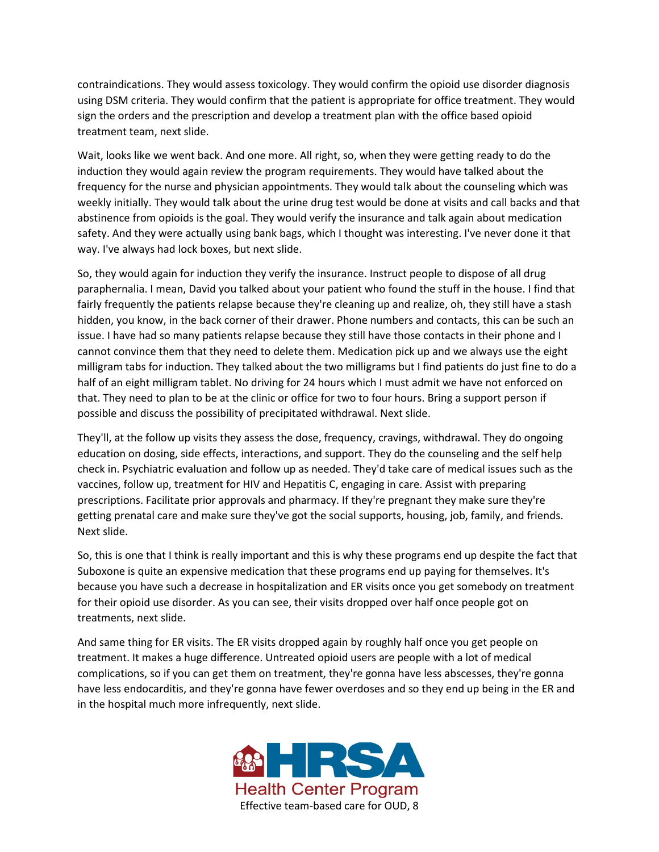contraindications. They would assess toxicology. They would confirm the opioid use disorder diagnosis using DSM criteria. They would confirm that the patient is appropriate for office treatment. They would sign the orders and the prescription and develop a treatment plan with the office based opioid treatment team, next slide.

Wait, looks like we went back. And one more. All right, so, when they were getting ready to do the induction they would again review the program requirements. They would have talked about the frequency for the nurse and physician appointments. They would talk about the counseling which was weekly initially. They would talk about the urine drug test would be done at visits and call backs and that abstinence from opioids is the goal. They would verify the insurance and talk again about medication safety. And they were actually using bank bags, which I thought was interesting. I've never done it that way. I've always had lock boxes, but next slide.

So, they would again for induction they verify the insurance. Instruct people to dispose of all drug paraphernalia. I mean, David you talked about your patient who found the stuff in the house. I find that fairly frequently the patients relapse because they're cleaning up and realize, oh, they still have a stash hidden, you know, in the back corner of their drawer. Phone numbers and contacts, this can be such an issue. I have had so many patients relapse because they still have those contacts in their phone and I cannot convince them that they need to delete them. Medication pick up and we always use the eight milligram tabs for induction. They talked about the two milligrams but I find patients do just fine to do a half of an eight milligram tablet. No driving for 24 hours which I must admit we have not enforced on that. They need to plan to be at the clinic or office for two to four hours. Bring a support person if possible and discuss the possibility of precipitated withdrawal. Next slide.

They'll, at the follow up visits they assess the dose, frequency, cravings, withdrawal. They do ongoing education on dosing, side effects, interactions, and support. They do the counseling and the self help check in. Psychiatric evaluation and follow up as needed. They'd take care of medical issues such as the vaccines, follow up, treatment for HIV and Hepatitis C, engaging in care. Assist with preparing prescriptions. Facilitate prior approvals and pharmacy. If they're pregnant they make sure they're getting prenatal care and make sure they've got the social supports, housing, job, family, and friends. Next slide.

So, this is one that I think is really important and this is why these programs end up despite the fact that Suboxone is quite an expensive medication that these programs end up paying for themselves. It's because you have such a decrease in hospitalization and ER visits once you get somebody on treatment for their opioid use disorder. As you can see, their visits dropped over half once people got on treatments, next slide.

And same thing for ER visits. The ER visits dropped again by roughly half once you get people on treatment. It makes a huge difference. Untreated opioid users are people with a lot of medical complications, so if you can get them on treatment, they're gonna have less abscesses, they're gonna have less endocarditis, and they're gonna have fewer overdoses and so they end up being in the ER and in the hospital much more infrequently, next slide.